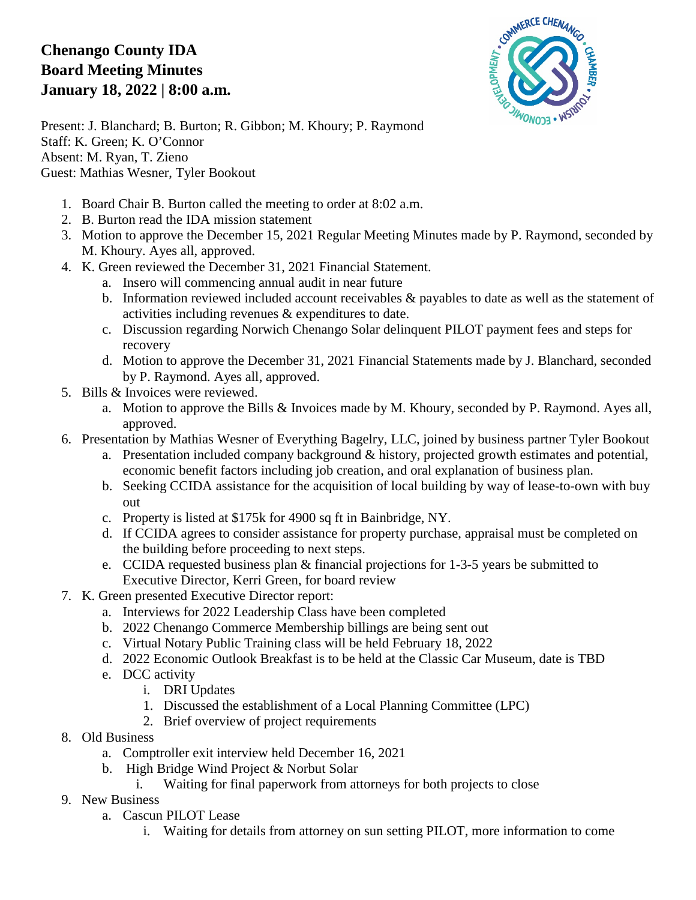## **Chenango County IDA Board Meeting Minutes January 18, 2022 | 8:00 a.m.**



Present: J. Blanchard; B. Burton; R. Gibbon; M. Khoury; P. Raymond Staff: K. Green; K. O'Connor Absent: M. Ryan, T. Zieno Guest: Mathias Wesner, Tyler Bookout

- 1. Board Chair B. Burton called the meeting to order at 8:02 a.m.
- 2. B. Burton read the IDA mission statement
- 3. Motion to approve the December 15, 2021 Regular Meeting Minutes made by P. Raymond, seconded by M. Khoury. Ayes all, approved.
- 4. K. Green reviewed the December 31, 2021 Financial Statement.
	- a. Insero will commencing annual audit in near future
	- b. Information reviewed included account receivables  $\&$  payables to date as well as the statement of activities including revenues & expenditures to date.
	- c. Discussion regarding Norwich Chenango Solar delinquent PILOT payment fees and steps for recovery
	- d. Motion to approve the December 31, 2021 Financial Statements made by J. Blanchard, seconded by P. Raymond. Ayes all, approved.
- 5. Bills & Invoices were reviewed.
	- a. Motion to approve the Bills & Invoices made by M. Khoury, seconded by P. Raymond. Ayes all, approved.
- 6. Presentation by Mathias Wesner of Everything Bagelry, LLC, joined by business partner Tyler Bookout
	- a. Presentation included company background & history, projected growth estimates and potential, economic benefit factors including job creation, and oral explanation of business plan.
	- b. Seeking CCIDA assistance for the acquisition of local building by way of lease-to-own with buy out
	- c. Property is listed at \$175k for 4900 sq ft in Bainbridge, NY.
	- d. If CCIDA agrees to consider assistance for property purchase, appraisal must be completed on the building before proceeding to next steps.
	- e. CCIDA requested business plan & financial projections for 1-3-5 years be submitted to Executive Director, Kerri Green, for board review
- 7. K. Green presented Executive Director report:
	- a. Interviews for 2022 Leadership Class have been completed
	- b. 2022 Chenango Commerce Membership billings are being sent out
	- c. Virtual Notary Public Training class will be held February 18, 2022
	- d. 2022 Economic Outlook Breakfast is to be held at the Classic Car Museum, date is TBD
	- e. DCC activity
		- i. DRI Updates
		- 1. Discussed the establishment of a Local Planning Committee (LPC)
		- 2. Brief overview of project requirements
- 8. Old Business
	- a. Comptroller exit interview held December 16, 2021
	- b. High Bridge Wind Project & Norbut Solar
		- i. Waiting for final paperwork from attorneys for both projects to close
- 9. New Business
	- a. Cascun PILOT Lease
		- i. Waiting for details from attorney on sun setting PILOT, more information to come